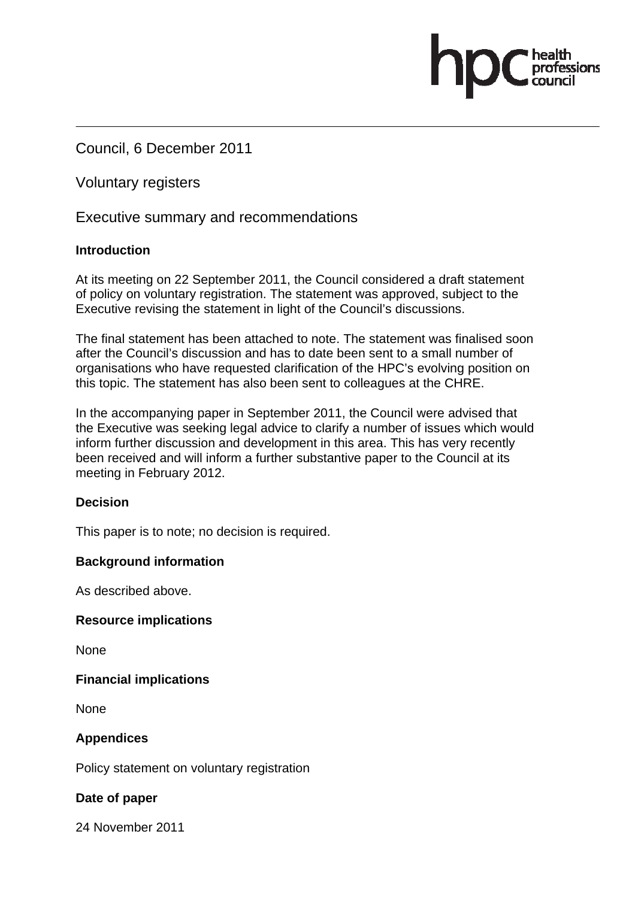Council, 6 December 2011

Voluntary registers

Executive summary and recommendations

# **Introduction**

At its meeting on 22 September 2011, the Council considered a draft statement of policy on voluntary registration. The statement was approved, subject to the Executive revising the statement in light of the Council's discussions.

.<br>essions

The final statement has been attached to note. The statement was finalised soon after the Council's discussion and has to date been sent to a small number of organisations who have requested clarification of the HPC's evolving position on this topic. The statement has also been sent to colleagues at the CHRE.

In the accompanying paper in September 2011, the Council were advised that the Executive was seeking legal advice to clarify a number of issues which would inform further discussion and development in this area. This has very recently been received and will inform a further substantive paper to the Council at its meeting in February 2012.

## **Decision**

This paper is to note; no decision is required.

## **Background information**

As described above.

## **Resource implications**

**None** 

## **Financial implications**

**None** 

## **Appendices**

Policy statement on voluntary registration

## **Date of paper**

24 November 2011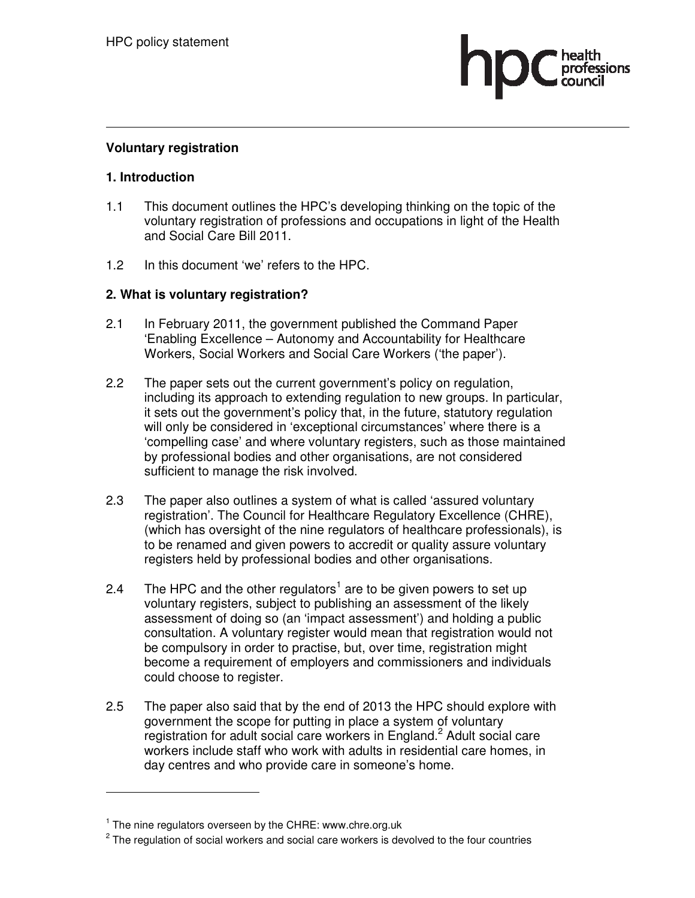

#### **Voluntary registration**

### **1. Introduction**

- 1.1 This document outlines the HPC's developing thinking on the topic of the voluntary registration of professions and occupations in light of the Health and Social Care Bill 2011.
- 1.2 In this document 'we' refers to the HPC.

## **2. What is voluntary registration?**

- 2.1 In February 2011, the government published the Command Paper 'Enabling Excellence – Autonomy and Accountability for Healthcare Workers, Social Workers and Social Care Workers ('the paper').
- 2.2 The paper sets out the current government's policy on regulation, including its approach to extending regulation to new groups. In particular, it sets out the government's policy that, in the future, statutory regulation will only be considered in 'exceptional circumstances' where there is a 'compelling case' and where voluntary registers, such as those maintained by professional bodies and other organisations, are not considered sufficient to manage the risk involved.
- 2.3 The paper also outlines a system of what is called 'assured voluntary registration'. The Council for Healthcare Regulatory Excellence (CHRE), (which has oversight of the nine regulators of healthcare professionals), is to be renamed and given powers to accredit or quality assure voluntary registers held by professional bodies and other organisations.
- 2.4 The HPC and the other regulators<sup>1</sup> are to be given powers to set up voluntary registers, subject to publishing an assessment of the likely assessment of doing so (an 'impact assessment') and holding a public consultation. A voluntary register would mean that registration would not be compulsory in order to practise, but, over time, registration might become a requirement of employers and commissioners and individuals could choose to register.
- 2.5 The paper also said that by the end of 2013 the HPC should explore with government the scope for putting in place a system of voluntary registration for adult social care workers in England.<sup>2</sup> Adult social care workers include staff who work with adults in residential care homes, in day centres and who provide care in someone's home.

 $\overline{a}$ 

<sup>&</sup>lt;sup>1</sup> The nine regulators overseen by the CHRE: www.chre.org.uk

 $2$  The regulation of social workers and social care workers is devolved to the four countries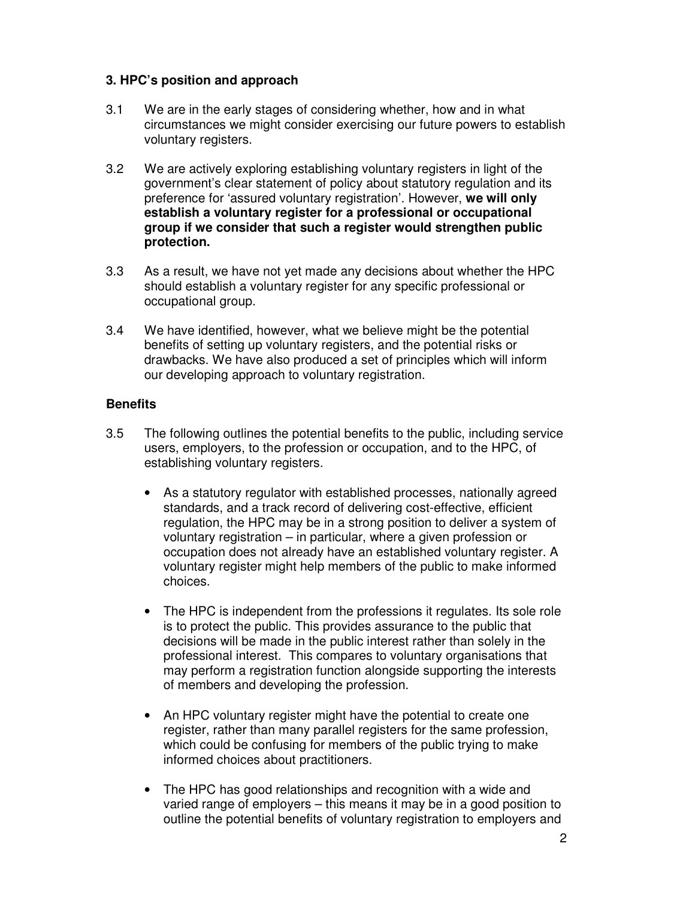#### **3. HPC's position and approach**

- 3.1 We are in the early stages of considering whether, how and in what circumstances we might consider exercising our future powers to establish voluntary registers.
- 3.2 We are actively exploring establishing voluntary registers in light of the government's clear statement of policy about statutory regulation and its preference for 'assured voluntary registration'. However, **we will only establish a voluntary register for a professional or occupational group if we consider that such a register would strengthen public protection.**
- 3.3 As a result, we have not yet made any decisions about whether the HPC should establish a voluntary register for any specific professional or occupational group.
- 3.4 We have identified, however, what we believe might be the potential benefits of setting up voluntary registers, and the potential risks or drawbacks. We have also produced a set of principles which will inform our developing approach to voluntary registration.

### **Benefits**

- 3.5 The following outlines the potential benefits to the public, including service users, employers, to the profession or occupation, and to the HPC, of establishing voluntary registers.
	- As a statutory regulator with established processes, nationally agreed standards, and a track record of delivering cost-effective, efficient regulation, the HPC may be in a strong position to deliver a system of voluntary registration – in particular, where a given profession or occupation does not already have an established voluntary register. A voluntary register might help members of the public to make informed choices.
	- The HPC is independent from the professions it regulates. Its sole role is to protect the public. This provides assurance to the public that decisions will be made in the public interest rather than solely in the professional interest. This compares to voluntary organisations that may perform a registration function alongside supporting the interests of members and developing the profession.
	- An HPC voluntary register might have the potential to create one register, rather than many parallel registers for the same profession, which could be confusing for members of the public trying to make informed choices about practitioners.
	- The HPC has good relationships and recognition with a wide and varied range of employers – this means it may be in a good position to outline the potential benefits of voluntary registration to employers and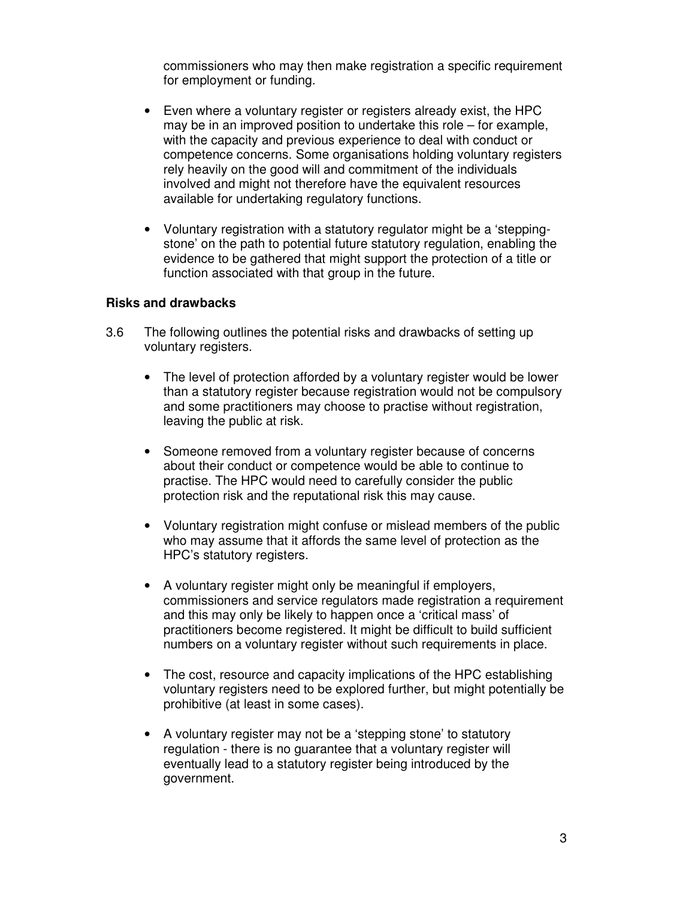commissioners who may then make registration a specific requirement for employment or funding.

- Even where a voluntary register or registers already exist, the HPC may be in an improved position to undertake this role – for example, with the capacity and previous experience to deal with conduct or competence concerns. Some organisations holding voluntary registers rely heavily on the good will and commitment of the individuals involved and might not therefore have the equivalent resources available for undertaking regulatory functions.
- Voluntary registration with a statutory regulator might be a 'steppingstone' on the path to potential future statutory regulation, enabling the evidence to be gathered that might support the protection of a title or function associated with that group in the future.

#### **Risks and drawbacks**

- 3.6 The following outlines the potential risks and drawbacks of setting up voluntary registers.
	- The level of protection afforded by a voluntary register would be lower than a statutory register because registration would not be compulsory and some practitioners may choose to practise without registration, leaving the public at risk.
	- Someone removed from a voluntary register because of concerns about their conduct or competence would be able to continue to practise. The HPC would need to carefully consider the public protection risk and the reputational risk this may cause.
	- Voluntary registration might confuse or mislead members of the public who may assume that it affords the same level of protection as the HPC's statutory registers.
	- A voluntary register might only be meaningful if employers, commissioners and service regulators made registration a requirement and this may only be likely to happen once a 'critical mass' of practitioners become registered. It might be difficult to build sufficient numbers on a voluntary register without such requirements in place.
	- The cost, resource and capacity implications of the HPC establishing voluntary registers need to be explored further, but might potentially be prohibitive (at least in some cases).
	- A voluntary register may not be a 'stepping stone' to statutory regulation - there is no guarantee that a voluntary register will eventually lead to a statutory register being introduced by the government.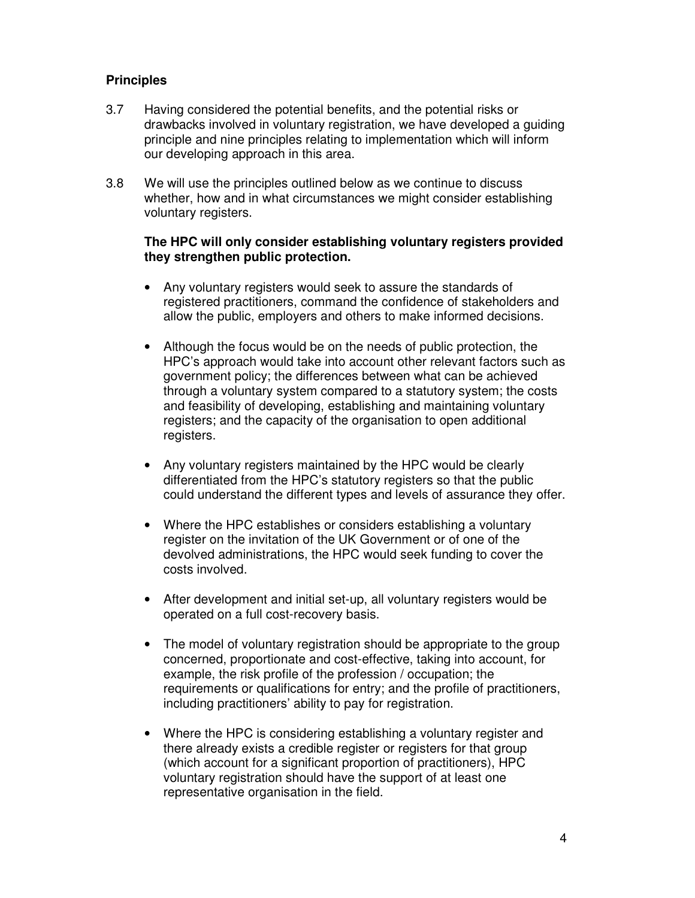### **Principles**

- 3.7 Having considered the potential benefits, and the potential risks or drawbacks involved in voluntary registration, we have developed a guiding principle and nine principles relating to implementation which will inform our developing approach in this area.
- 3.8 We will use the principles outlined below as we continue to discuss whether, how and in what circumstances we might consider establishing voluntary registers.

#### **The HPC will only consider establishing voluntary registers provided they strengthen public protection.**

- Any voluntary registers would seek to assure the standards of registered practitioners, command the confidence of stakeholders and allow the public, employers and others to make informed decisions.
- Although the focus would be on the needs of public protection, the HPC's approach would take into account other relevant factors such as government policy; the differences between what can be achieved through a voluntary system compared to a statutory system; the costs and feasibility of developing, establishing and maintaining voluntary registers; and the capacity of the organisation to open additional registers.
- Any voluntary registers maintained by the HPC would be clearly differentiated from the HPC's statutory registers so that the public could understand the different types and levels of assurance they offer.
- Where the HPC establishes or considers establishing a voluntary register on the invitation of the UK Government or of one of the devolved administrations, the HPC would seek funding to cover the costs involved.
- After development and initial set-up, all voluntary registers would be operated on a full cost-recovery basis.
- The model of voluntary registration should be appropriate to the group concerned, proportionate and cost-effective, taking into account, for example, the risk profile of the profession / occupation; the requirements or qualifications for entry; and the profile of practitioners, including practitioners' ability to pay for registration.
- Where the HPC is considering establishing a voluntary register and there already exists a credible register or registers for that group (which account for a significant proportion of practitioners), HPC voluntary registration should have the support of at least one representative organisation in the field.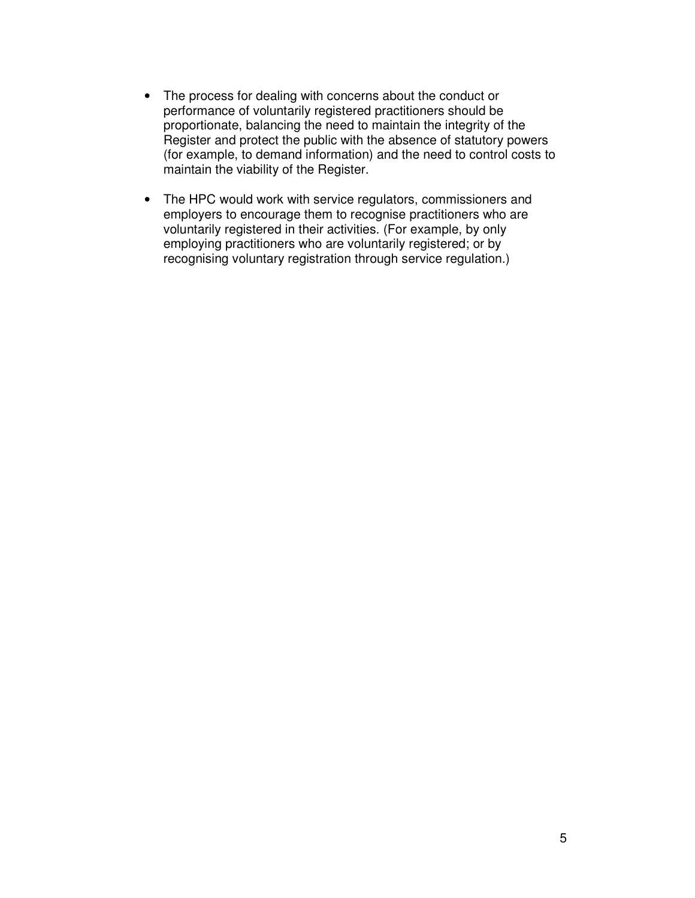- The process for dealing with concerns about the conduct or performance of voluntarily registered practitioners should be proportionate, balancing the need to maintain the integrity of the Register and protect the public with the absence of statutory powers (for example, to demand information) and the need to control costs to maintain the viability of the Register.
- The HPC would work with service regulators, commissioners and employers to encourage them to recognise practitioners who are voluntarily registered in their activities. (For example, by only employing practitioners who are voluntarily registered; or by recognising voluntary registration through service regulation.)